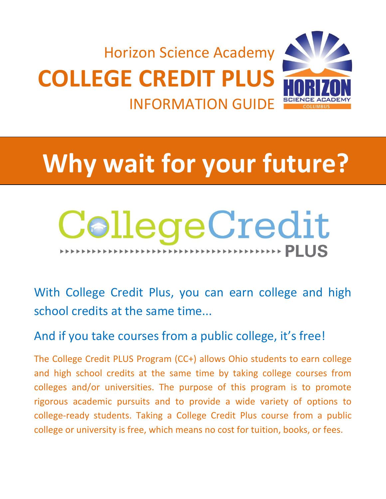

# **Why wait for your future?**

## CollegeCredit **EXECUTED FILLS**

With College Credit Plus, you can earn college and high school credits at the same time...

### And if you take courses from a public college, it's free!

The College Credit PLUS Program (CC+) allows Ohio students to earn college and high school credits at the same time by taking college courses from colleges and/or universities. The purpose of this program is to promote rigorous academic pursuits and to provide a wide variety of options to college-ready students. Taking a College Credit Plus course from a public college or university is free, which means no cost for tuition, books, or fees.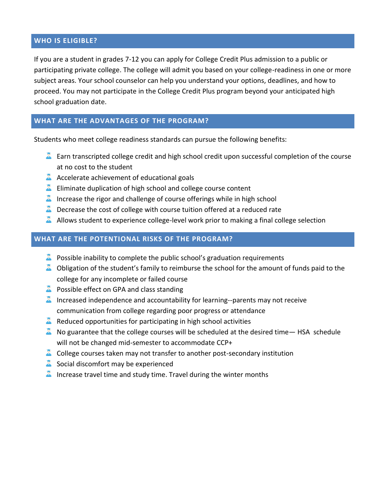#### **WHO IS ELIGIBLE?**

If you are a student in grades 7-12 you can apply for College Credit Plus admission to a public or participating private college. The college will admit you based on your college-readiness in one or more subject areas. Your school counselor can help you understand your options, deadlines, and how to proceed. You may not participate in the College Credit Plus program beyond your anticipated high school graduation date.

#### **WHAT ARE THE ADVANTAGES OF THE PROGRAM?**

Students who meet college readiness standards can pursue the following benefits:

- $\blacksquare$  Earn transcripted college credit and high school credit upon successful completion of the course at no cost to the student
- A Accelerate achievement of educational goals
- $\triangle$  Eliminate duplication of high school and college course content
- Increase the rigor and challenge of course offerings while in high school
- $\triangle$  Decrease the cost of college with course tuition offered at a reduced rate
- A Allows student to experience college-level work prior to making a final college selection

#### **WHAT ARE THE POTENTIONAL RISKS OF THE PROGRAM?**

- $\triangle$  Possible inability to complete the public school's graduation requirements
- $\triangle$  Obligation of the student's family to reimburse the school for the amount of funds paid to the college for any incomplete or failed course
- **A** Possible effect on GPA and class standing
- Increased independence and accountability for learning--parents may not receive communication from college regarding poor progress or attendance
- $\triangle$  Reduced opportunities for participating in high school activities
- $\triangle$  No guarantee that the college courses will be scheduled at the desired time— HSA schedule will not be changed mid-semester to accommodate CCP+
- $\triangle$  College courses taken may not transfer to another post-secondary institution
- $\triangle$  Social discomfort may be experienced
- Increase travel time and study time. Travel during the winter months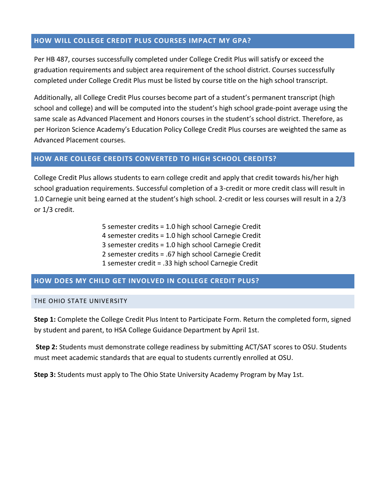#### **HOW WILL COLLEGE CREDIT PLUS COURSES IMPACT MY GPA?**

Per HB 487, courses successfully completed under College Credit Plus will satisfy or exceed the graduation requirements and subject area requirement of the school district. Courses successfully completed under College Credit Plus must be listed by course title on the high school transcript.

Additionally, all College Credit Plus courses become part of a student's permanent transcript (high school and college) and will be computed into the student's high school grade-point average using the same scale as Advanced Placement and Honors courses in the student's school district. Therefore, as per Horizon Science Academy's Education Policy College Credit Plus courses are weighted the same as Advanced Placement courses.

#### **HOW ARE COLLEGE CREDITS CONVERTED TO HIGH SCHOOL CREDITS?**

College Credit Plus allows students to earn college credit and apply that credit towards his/her high school graduation requirements. Successful completion of a 3-credit or more credit class will result in 1.0 Carnegie unit being earned at the student's high school. 2-credit or less courses will result in a 2/3 or 1/3 credit.

> 5 semester credits = 1.0 high school Carnegie Credit 4 semester credits = 1.0 high school Carnegie Credit 3 semester credits = 1.0 high school Carnegie Credit 2 semester credits = .67 high school Carnegie Credit 1 semester credit = .33 high school Carnegie Credit

#### **HOW DOES MY CHILD GET INVOLVED IN COLLEGE CREDIT PLUS?**

#### THE OHIO STATE UNIVERSITY

**Step 1:** Complete the College Credit Plus Intent to Participate Form. Return the completed form, signed by student and parent, to HSA College Guidance Department by April 1st.

**Step 2:** Students must demonstrate college readiness by submitting ACT/SAT scores to OSU. Students must meet academic standards that are equal to students currently enrolled at OSU.

**Step 3:** Students must apply to The Ohio State University Academy Program by May 1st.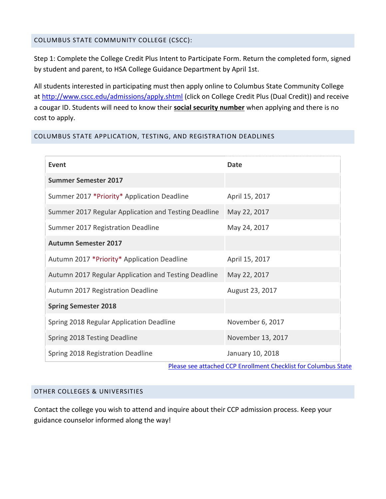#### COLUMBUS STATE COMMUNITY COLLEGE (CSCC):

Step 1: Complete the College Credit Plus Intent to Participate Form. Return the completed form, signed by student and parent, to HSA College Guidance Department by April 1st.

All students interested in participating must then apply online to Columbus State Community College at<http://www.cscc.edu/admissions/apply.shtml> (click on College Credit Plus (Dual Credit)) and receive a cougar ID. Students will need to know their **social security number** when applying and there is no cost to apply.

#### COLUMBUS STATE APPLICATION, TESTING, AND REGISTRATION DEADLINES

| Event                                                | Date                                                                               |
|------------------------------------------------------|------------------------------------------------------------------------------------|
| <b>Summer Semester 2017</b>                          |                                                                                    |
| Summer 2017 *Priority* Application Deadline          | April 15, 2017                                                                     |
| Summer 2017 Regular Application and Testing Deadline | May 22, 2017                                                                       |
| Summer 2017 Registration Deadline                    | May 24, 2017                                                                       |
| <b>Autumn Semester 2017</b>                          |                                                                                    |
| Autumn 2017 *Priority* Application Deadline          | April 15, 2017                                                                     |
| Autumn 2017 Regular Application and Testing Deadline | May 22, 2017                                                                       |
| Autumn 2017 Registration Deadline                    | August 23, 2017                                                                    |
| <b>Spring Semester 2018</b>                          |                                                                                    |
| Spring 2018 Regular Application Deadline             | November 6, 2017                                                                   |
| Spring 2018 Testing Deadline                         | November 13, 2017                                                                  |
| Spring 2018 Registration Deadline                    | January 10, 2018<br>Disses see ottaalsed CCD From Unions Chaplicat fou Columbus Ci |

[Please see attached CCP Enrollment Checklist for Columbus State](http://www.cscc.edu/community/dual-credit/pdf/CCP%20checklist.pdf)

#### OTHER COLLEGES & UNIVERSITIES

Contact the college you wish to attend and inquire about their CCP admission process. Keep your guidance counselor informed along the way!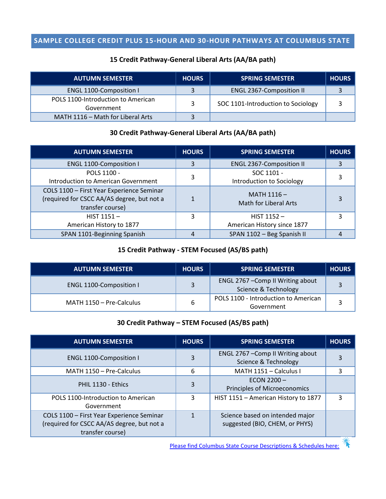#### **SAMPLE COLLEGE CREDIT PLUS 15-HOUR AND 30-HOUR PATHWAYS AT COLUMBUS STATE**

#### **15 Credit Pathway-General Liberal Arts (AA/BA path)**

| <b>AUTUMN SEMESTER</b>                           | <b>HOURS</b> | <b>SPRING SEMESTER</b>             | <b>HOURS</b> |
|--------------------------------------------------|--------------|------------------------------------|--------------|
| <b>ENGL 1100-Composition I</b>                   |              | <b>ENGL 2367-Composition II</b>    |              |
| POLS 1100-Introduction to American<br>Government | 3            | SOC 1101-Introduction to Sociology |              |
| MATH 1116 - Math for Liberal Arts                |              |                                    |              |

#### **30 Credit Pathway-General Liberal Arts (AA/BA path)**

| <b>AUTUMN SEMESTER</b>                                                                                      | <b>HOURS</b> | <b>SPRING SEMESTER</b>                        | <b>HOURS</b> |
|-------------------------------------------------------------------------------------------------------------|--------------|-----------------------------------------------|--------------|
| <b>ENGL 1100-Composition I</b>                                                                              | 3            | <b>ENGL 2367-Composition II</b>               |              |
| POLS 1100 -<br>Introduction to American Government                                                          | 3            | SOC 1101 -<br>Introduction to Sociology       |              |
| COLS 1100 - First Year Experience Seminar<br>(required for CSCC AA/AS degree, but not a<br>transfer course) |              | MATH $1116 -$<br><b>Math for Liberal Arts</b> |              |
| $HIST 1151 -$<br>American History to 1877                                                                   | 3            | HIST $1152 -$<br>American History since 1877  |              |
| SPAN 1101-Beginning Spanish                                                                                 | 4            | SPAN 1102 - Beg Spanish II                    |              |

#### **15 Credit Pathway - STEM Focused (AS/BS path)**

| <b>AUTUMN SEMESTER</b>         | <b>HOURS</b> | <b>SPRING SEMESTER</b>                                    | <b>HOURS</b> |
|--------------------------------|--------------|-----------------------------------------------------------|--------------|
| <b>ENGL 1100-Composition I</b> |              | ENGL 2767 - Comp II Writing about<br>Science & Technology |              |
| MATH 1150 - Pre-Calculus       |              | POLS 1100 - Introduction to American<br>Government        |              |

#### **30 Credit Pathway – STEM Focused (AS/BS path)**

| <b>AUTUMN SEMESTER</b>                                                                                      | <b>HOURS</b> | <b>SPRING SEMESTER</b>                                            | <b>HOURS</b> |
|-------------------------------------------------------------------------------------------------------------|--------------|-------------------------------------------------------------------|--------------|
| <b>ENGL 1100-Composition I</b>                                                                              | 3            | ENGL 2767 - Comp II Writing about<br>Science & Technology         |              |
| MATH 1150 - Pre-Calculus                                                                                    | 6            | MATH 1151 - Calculus I                                            |              |
| PHIL 1130 - Ethics                                                                                          | 3            | ECON $2200 -$<br>Principles of Microeconomics                     |              |
| POLS 1100-Introduction to American<br>Government                                                            | 3            | HIST 1151 - American History to 1877                              | ς            |
| COLS 1100 - First Year Experience Seminar<br>(required for CSCC AA/AS degree, but not a<br>transfer course) |              | Science based on intended major<br>suggested (BIO, CHEM, or PHYS) |              |

[Please find Columbus State Course Descriptions & Schedules here:](http://www.cscc.edu/academics/courses16-17/)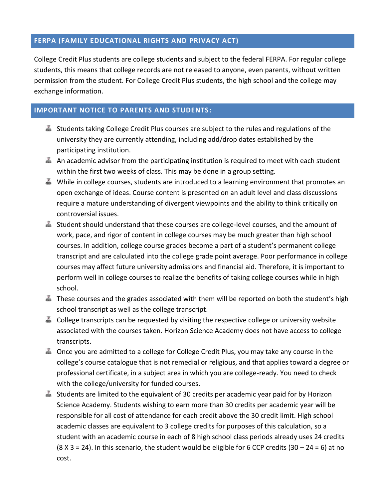#### **FERPA (FAMILY EDUCATIONAL RIGHTS AND PRIVACY ACT)**

College Credit Plus students are college students and subject to the federal FERPA. For regular college students, this means that college records are not released to anyone, even parents, without written permission from the student. For College Credit Plus students, the high school and the college may exchange information.

#### **IMPORTANT NOTICE TO PARENTS AND STUDENTS:**

- Students taking College Credit Plus courses are subject to the rules and regulations of the university they are currently attending, including add/drop dates established by the participating institution.
- An academic advisor from the participating institution is required to meet with each student within the first two weeks of class. This may be done in a group setting.
- While in college courses, students are introduced to a learning environment that promotes an open exchange of ideas. Course content is presented on an adult level and class discussions require a mature understanding of divergent viewpoints and the ability to think critically on controversial issues.
- Student should understand that these courses are college-level courses, and the amount of work, pace, and rigor of content in college courses may be much greater than high school courses. In addition, college course grades become a part of a student's permanent college transcript and are calculated into the college grade point average. Poor performance in college courses may affect future university admissions and financial aid. Therefore, it is important to perform well in college courses to realize the benefits of taking college courses while in high school.
- $\blacksquare$  These courses and the grades associated with them will be reported on both the student's high school transcript as well as the college transcript.
- College transcripts can be requested by visiting the respective college or university website associated with the courses taken. Horizon Science Academy does not have access to college transcripts.
- Once you are admitted to a college for College Credit Plus, you may take any course in the college's course catalogue that is not remedial or religious, and that applies toward a degree or professional certificate, in a subject area in which you are college-ready. You need to check with the college/university for funded courses.
- Students are limited to the equivalent of 30 credits per academic year paid for by Horizon Science Academy. Students wishing to earn more than 30 credits per academic year will be responsible for all cost of attendance for each credit above the 30 credit limit. High school academic classes are equivalent to 3 college credits for purposes of this calculation, so a student with an academic course in each of 8 high school class periods already uses 24 credits  $(8 \times 3 = 24)$ . In this scenario, the student would be eligible for 6 CCP credits  $(30 - 24 = 6)$  at no cost.